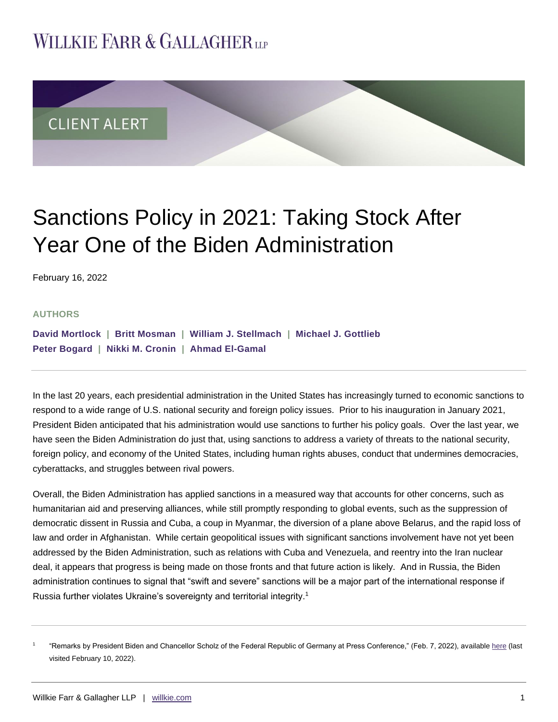# **WILLKIE FARR & GALLAGHERUP**



# Sanctions Policy in 2021: Taking Stock After Year One of the Biden Administration

February 16, 2022

#### **AUTHORS**

| David Mortlock   Britt Mosman   William J. Stellmach   Michael J. Gottlieb |  |
|----------------------------------------------------------------------------|--|
| Peter Bogard   Nikki M. Cronin   Ahmad El-Gamal                            |  |

In the last 20 years, each presidential administration in the United States has increasingly turned to economic sanctions to respond to a wide range of U.S. national security and foreign policy issues. Prior to his inauguration in January 2021, President Biden anticipated that his administration would use sanctions to further his policy goals. Over the last year, we have seen the Biden Administration do just that, using sanctions to address a variety of threats to the national security, foreign policy, and economy of the United States, including human rights abuses, conduct that undermines democracies, cyberattacks, and struggles between rival powers.

Overall, the Biden Administration has applied sanctions in a measured way that accounts for other concerns, such as humanitarian aid and preserving alliances, while still promptly responding to global events, such as the suppression of democratic dissent in Russia and Cuba, a coup in Myanmar, the diversion of a plane above Belarus, and the rapid loss of law and order in Afghanistan. While certain geopolitical issues with significant sanctions involvement have not yet been addressed by the Biden Administration, such as relations with Cuba and Venezuela, and reentry into the Iran nuclear deal, it appears that progress is being made on those fronts and that future action is likely. And in Russia, the Biden administration continues to signal that "swift and severe" sanctions will be a major part of the international response if Russia further violates Ukraine's sovereignty and territorial integrity.<sup>1</sup>

<sup>1</sup> "Remarks by President Biden and Chancellor Scholz of the Federal Republic of Germany at Press Conference," (Feb. 7, 2022), available [here](https://www.whitehouse.gov/briefing-room/statements-releases/2022/02/07/remarks-by-president-biden-and-chancellor-scholz-of-the-federal-republic-of-germany-at-press-conference/) (last visited February 10, 2022).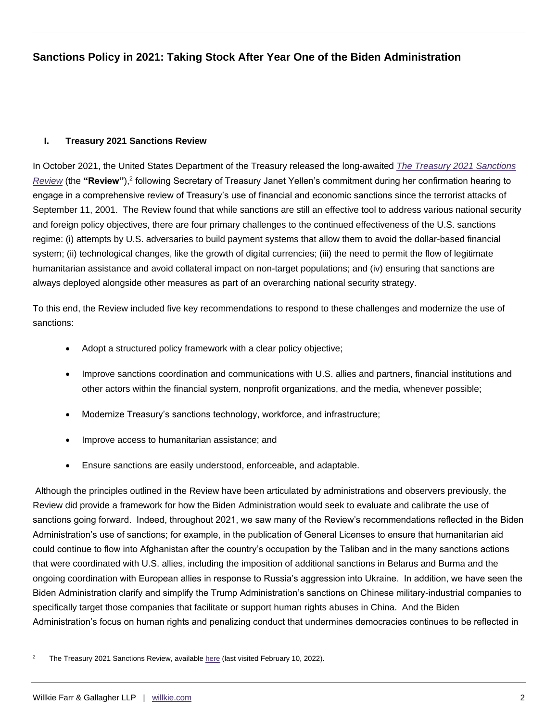### **I. Treasury 2021 Sanctions Review**

In October 2021, the United States Department of the Treasury released the long-awaited *[The Treasury 2021 Sanctions](https://home.treasury.gov/system/files/136/Treasury-2021-sanctions-review.pdf)*  [Review](https://home.treasury.gov/system/files/136/Treasury-2021-sanctions-review.pdf) (the "Review"),<sup>2</sup> following Secretary of Treasury Janet Yellen's commitment during her confirmation hearing to engage in a comprehensive review of Treasury's use of financial and economic sanctions since the terrorist attacks of September 11, 2001. The Review found that while sanctions are still an effective tool to address various national security and foreign policy objectives, there are four primary challenges to the continued effectiveness of the U.S. sanctions regime: (i) attempts by U.S. adversaries to build payment systems that allow them to avoid the dollar-based financial system; (ii) technological changes, like the growth of digital currencies; (iii) the need to permit the flow of legitimate humanitarian assistance and avoid collateral impact on non-target populations; and (iv) ensuring that sanctions are always deployed alongside other measures as part of an overarching national security strategy.

To this end, the Review included five key recommendations to respond to these challenges and modernize the use of sanctions:

- Adopt a structured policy framework with a clear policy objective;
- Improve sanctions coordination and communications with U.S. allies and partners, financial institutions and other actors within the financial system, nonprofit organizations, and the media, whenever possible;
- Modernize Treasury's sanctions technology, workforce, and infrastructure;
- Improve access to humanitarian assistance; and
- Ensure sanctions are easily understood, enforceable, and adaptable.

Although the principles outlined in the Review have been articulated by administrations and observers previously, the Review did provide a framework for how the Biden Administration would seek to evaluate and calibrate the use of sanctions going forward. Indeed, throughout 2021, we saw many of the Review's recommendations reflected in the Biden Administration's use of sanctions; for example, in the publication of General Licenses to ensure that humanitarian aid could continue to flow into Afghanistan after the country's occupation by the Taliban and in the many sanctions actions that were coordinated with U.S. allies, including the imposition of additional sanctions in Belarus and Burma and the ongoing coordination with European allies in response to Russia's aggression into Ukraine. In addition, we have seen the Biden Administration clarify and simplify the Trump Administration's sanctions on Chinese military-industrial companies to specifically target those companies that facilitate or support human rights abuses in China. And the Biden Administration's focus on human rights and penalizing conduct that undermines democracies continues to be reflected in

<sup>2</sup> The Treasury 2021 Sanctions Review, availabl[e here](https://home.treasury.gov/system/files/136/Treasury-2021-sanctions-review.pdf) (last visited February 10, 2022).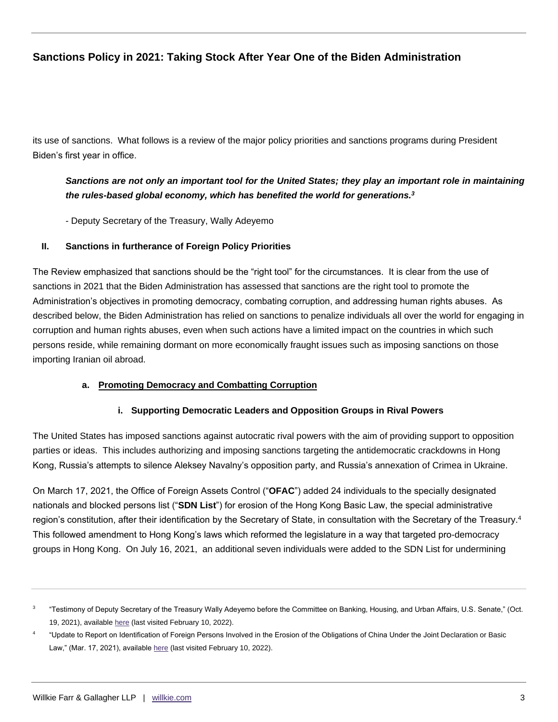its use of sanctions. What follows is a review of the major policy priorities and sanctions programs during President Biden's first year in office.

# *Sanctions are not only an important tool for the United States; they play an important role in maintaining the rules-based global economy, which has benefited the world for generations.<sup>3</sup>*

- Deputy Secretary of the Treasury, Wally Adeyemo

## **II. Sanctions in furtherance of Foreign Policy Priorities**

The Review emphasized that sanctions should be the "right tool" for the circumstances. It is clear from the use of sanctions in 2021 that the Biden Administration has assessed that sanctions are the right tool to promote the Administration's objectives in promoting democracy, combating corruption, and addressing human rights abuses. As described below, the Biden Administration has relied on sanctions to penalize individuals all over the world for engaging in corruption and human rights abuses, even when such actions have a limited impact on the countries in which such persons reside, while remaining dormant on more economically fraught issues such as imposing sanctions on those importing Iranian oil abroad.

## **a. Promoting Democracy and Combatting Corruption**

## **i. Supporting Democratic Leaders and Opposition Groups in Rival Powers**

The United States has imposed sanctions against autocratic rival powers with the aim of providing support to opposition parties or ideas. This includes authorizing and imposing sanctions targeting the antidemocratic crackdowns in Hong Kong, Russia's attempts to silence Aleksey Navalny's opposition party, and Russia's annexation of Crimea in Ukraine.

On March 17, 2021, the Office of Foreign Assets Control ("**OFAC**") added 24 individuals to the specially designated nationals and blocked persons list ("**SDN List**") for erosion of the Hong Kong Basic Law, the special administrative region's constitution, after their identification by the Secretary of State, in consultation with the Secretary of the Treasury.<sup>4</sup> This followed amendment to Hong Kong's laws which reformed the legislature in a way that targeted pro-democracy groups in Hong Kong. On July 16, 2021, an additional seven individuals were added to the SDN List for undermining

<sup>3</sup> "Testimony of Deputy Secretary of the Treasury Wally Adeyemo before the Committee on Banking, Housing, and Urban Affairs, U.S. Senate," (Oct. 19, 2021), available [here](https://home.treasury.gov/news/press-releases/jy0418) (last visited February 10, 2022).

<sup>4</sup> "Update to Report on Identification of Foreign Persons Involved in the Erosion of the Obligations of China Under the Joint Declaration or Basic Law," (Mar. 17, 2021), availabl[e here](https://www.state.gov/update-to-report-on-identification-of-foreign-persons-involved-in-the-erosion-of-the-obligations-of-china-under-the-joint-declaration-or-the-basic-law/) (last visited February 10, 2022).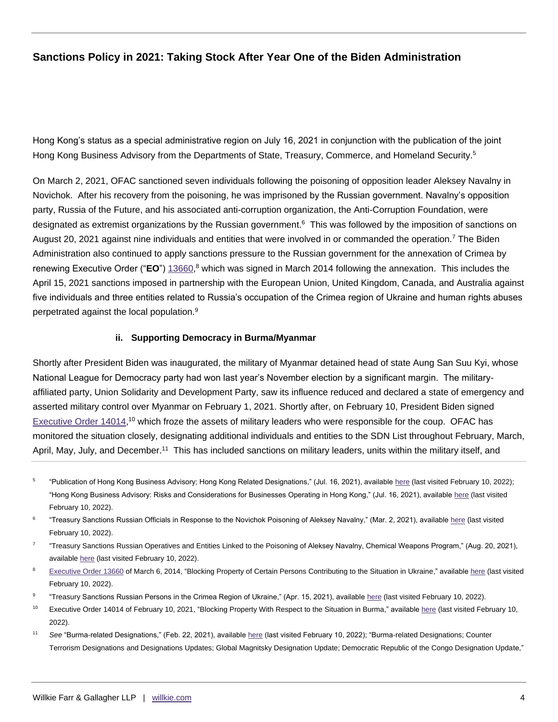Hong Kong's status as a special administrative region on July 16, 2021 in conjunction with the publication of the joint Hong Kong Business Advisory from the Departments of State, Treasury, Commerce, and Homeland Security.<sup>5</sup>

On March 2, 2021, OFAC sanctioned seven individuals following the poisoning of opposition leader Aleksey Navalny in Novichok. After his recovery from the poisoning, he was imprisoned by the Russian government. Navalny's opposition party, Russia of the Future, and his associated anti-corruption organization, the Anti-Corruption Foundation, were designated as extremist organizations by the Russian government.<sup>6</sup> This was followed by the imposition of sanctions on August 20, 2021 against nine individuals and entities that were involved in or commanded the operation.<sup>7</sup> The Biden Administration also continued to apply sanctions pressure to the Russian government for the annexation of Crimea by renewing Executive Order ("**EO**") [13660,](https://www.govinfo.gov/content/pkg/FR-2014-03-10/pdf/2014-05323.pdf) <sup>8</sup> which was signed in March 2014 following the annexation. This includes the April 15, 2021 sanctions imposed in partnership with the European Union, United Kingdom, Canada, and Australia against five individuals and three entities related to Russia's occupation of the Crimea region of Ukraine and human rights abuses perpetrated against the local population.<sup>9</sup>

#### **ii. Supporting Democracy in Burma/Myanmar**

Shortly after President Biden was inaugurated, the military of Myanmar detained head of state Aung San Suu Kyi, whose National League for Democracy party had won last year's November election by a significant margin. The militaryaffiliated party, Union Solidarity and Development Party, saw its influence reduced and declared a state of emergency and asserted military control over Myanmar on February 1, 2021. Shortly after, on February 10, President Biden signed [Executive Order 14014,](https://www.govinfo.gov/content/pkg/FR-2021-02-12/pdf/2021-03139.pdf)<sup>10</sup> which froze the assets of military leaders who were responsible for the coup. OFAC has monitored the situation closely, designating additional individuals and entities to the SDN List throughout February, March, April, May, July, and December.<sup>11</sup> This has included sanctions on military leaders, units within the military itself, and

- 5 "Publication of Hong Kong Business Advisory; Hong Kong Related Designations," (Jul. 16, 2021), available [here](https://home.treasury.gov/policy-issues/financial-sanctions/recent-actions/20210716) (last visited February 10, 2022); "Hong Kong Business Advisory: Risks and Considerations for Businesses Operating in Hong Kong," (Jul. 16, 2021), availabl[e here](https://home.treasury.gov/system/files/126/20210716_hong_kong_advisory.pdf) (last visited February 10, 2022).
- 6 "Treasury Sanctions Russian Officials in Response to the Novichok Poisoning of Aleksey Navalny," (Mar. 2, 2021), availabl[e here](https://home.treasury.gov/news/press-releases/jy0045) (last visited February 10, 2022).
- 7 "Treasury Sanctions Russian Operatives and Entities Linked to the Poisoning of Aleksey Navalny, Chemical Weapons Program," (Aug. 20, 2021), available [here](https://home.treasury.gov/news/press-releases/jy0328) (last visited February 10, 2022).
- <sup>8</sup> [Executive Order 13660](https://www.federalregister.gov/executive-order/13660) of March 6, 2014, "Blocking Property of Certain Persons Contributing to the Situation in Ukraine," availabl[e here](https://www.federalregister.gov/documents/2014/03/10/2014-05323/blocking-property-of-certain-persons-contributing-to-the-situation-in-ukraine) (last visited February 10, 2022).
- 9 "Treasury Sanctions Russian Persons in the Crimea Region of Ukraine," (Apr. 15, 2021), available [here](https://home.treasury.gov/news/press-releases/jy0125) (last visited February 10, 2022).
- <sup>10</sup> Executive Order 14014 of February 10, 2021, "Blocking Property With Respect to the Situation in Burma," availabl[e here](https://home.treasury.gov/system/files/126/14014.pdf) (last visited February 10, 2022).
- <sup>11</sup> See "Burma-related Designations," (Feb. 22, 2021), availabl[e here](https://home.treasury.gov/policy-issues/financial-sanctions/recent-actions/20210222_33) (last visited February 10, 2022); "Burma-related Designations; Counter Terrorism Designations and Designations Updates; Global Magnitsky Designation Update; Democratic Republic of the Congo Designation Update,"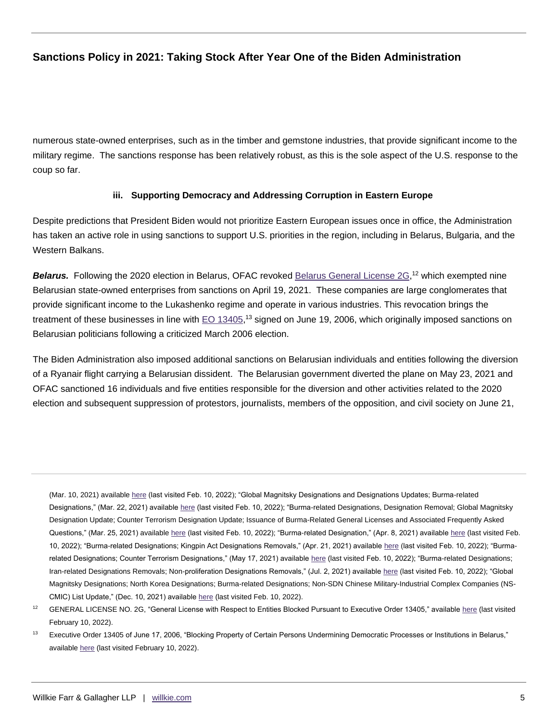numerous state-owned enterprises, such as in the timber and gemstone industries, that provide significant income to the military regime. The sanctions response has been relatively robust, as this is the sole aspect of the U.S. response to the coup so far.

## **iii. Supporting Democracy and Addressing Corruption in Eastern Europe**

Despite predictions that President Biden would not prioritize Eastern European issues once in office, the Administration has taken an active role in using sanctions to support U.S. priorities in the region, including in Belarus, Bulgaria, and the Western Balkans.

Belarus. Following the 2020 election in Belarus, OFAC revoked [Belarus General License 2G,](https://home.treasury.gov/system/files/126/belarus_gl2g.pdf)<sup>12</sup> which exempted nine Belarusian state-owned enterprises from sanctions on April 19, 2021. These companies are large conglomerates that provide significant income to the Lukashenko regime and operate in various industries. This revocation brings the treatment of these businesses in line with [EO 13405,](https://www.govinfo.gov/content/pkg/WCPD-2006-06-26/pdf/WCPD-2006-06-26-Pg1174.pdf)<sup>13</sup> signed on June 19, 2006, which originally imposed sanctions on Belarusian politicians following a criticized March 2006 election.

The Biden Administration also imposed additional sanctions on Belarusian individuals and entities following the diversion of a Ryanair flight carrying a Belarusian dissident. The Belarusian government diverted the plane on May 23, 2021 and OFAC sanctioned 16 individuals and five entities responsible for the diversion and other activities related to the 2020 election and subsequent suppression of protestors, journalists, members of the opposition, and civil society on June 21,

(Mar. 10, 2021) availabl[e here](https://home.treasury.gov/policy-issues/financial-sanctions/recent-actions/20210310) (last visited Feb. 10, 2022); "Global Magnitsky Designations and Designations Updates; Burma-related Designations," (Mar. 22, 2021) available [here](https://home.treasury.gov/policy-issues/financial-sanctions/recent-actions/20210322) (last visited Feb. 10, 2022); "Burma-related Designations, Designation Removal; Global Magnitsky Designation Update; Counter Terrorism Designation Update; Issuance of Burma-Related General Licenses and Associated Frequently Asked Questions," (Mar. 25, 2021) available [here](https://home.treasury.gov/policy-issues/financial-sanctions/recent-actions/20210325) (last visited Feb. 10, 2022); "Burma-related Designation," (Apr. 8, 2021) availabl[e here](https://home.treasury.gov/policy-issues/financial-sanctions/recent-actions/20210408) (last visited Feb. 10, 2022); "Burma-related Designations; Kingpin Act Designations Removals," (Apr. 21, 2021) available [here](https://home.treasury.gov/policy-issues/financial-sanctions/recent-actions/20210421) (last visited Feb. 10, 2022); "Burmarelated Designations; Counter Terrorism Designations," (May 17, 2021) availabl[e here](https://home.treasury.gov/policy-issues/financial-sanctions/recent-actions/20210517) (last visited Feb. 10, 2022); "Burma-related Designations; Iran-related Designations Removals; Non-proliferation Designations Removals," (Jul. 2, 2021) available [here](https://home.treasury.gov/policy-issues/financial-sanctions/recent-actions/20210702) (last visited Feb. 10, 2022); "Global Magnitsky Designations; North Korea Designations; Burma-related Designations; Non-SDN Chinese Military-Industrial Complex Companies (NS-CMIC) List Update," (Dec. 10, 2021) available [here](https://home.treasury.gov/policy-issues/financial-sanctions/recent-actions/20211210) (last visited Feb. 10, 2022).

<sup>12</sup> GENERAL LICENSE NO. 2G, "General License with Respect to Entities Blocked Pursuant to Executive Order 13405," availabl[e here](https://home.treasury.gov/system/files/126/belarus_gl2g.pdf) (last visited February 10, 2022).

<sup>&</sup>lt;sup>13</sup> Executive Order 13405 of June 17, 2006, "Blocking Property of Certain Persons Undermining Democratic Processes or Institutions in Belarus," available [here](https://www.govinfo.gov/content/pkg/WCPD-2006-06-26/pdf/WCPD-2006-06-26-Pg1174.pdf) (last visited February 10, 2022).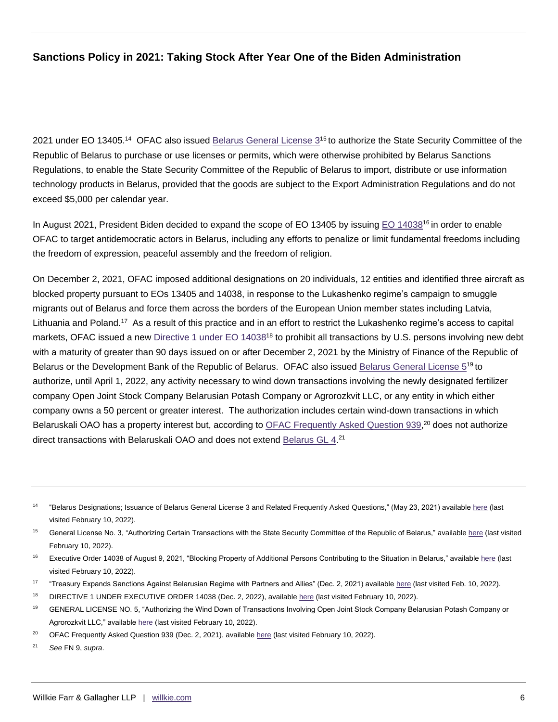2021 under EO 13405.<sup>14</sup> OFAC also issued Belarus [General License 3](https://home.treasury.gov/system/files/126/belarus_gl3.pdf)<sup>15</sup> to authorize the State Security Committee of the Republic of Belarus to purchase or use licenses or permits, which were otherwise prohibited by Belarus Sanctions Regulations, to enable the State Security Committee of the Republic of Belarus to import, distribute or use information technology products in Belarus, provided that the goods are subject to the Export Administration Regulations and do not exceed \$5,000 per calendar year.

In August 2021, President Biden decided to expand the scope of EO 13405 by issuing [EO 14038](https://www.govinfo.gov/content/pkg/DCPD-202100652/pdf/DCPD-202100652.pdf)<sup>16</sup> in order to enable OFAC to target antidemocratic actors in Belarus, including any efforts to penalize or limit fundamental freedoms including the freedom of expression, peaceful assembly and the freedom of religion.

On December 2, 2021, OFAC imposed additional designations on 20 individuals, 12 entities and identified three aircraft as blocked property pursuant to EOs 13405 and 14038, in response to the Lukashenko regime's campaign to smuggle migrants out of Belarus and force them across the borders of the European Union member states including Latvia, Lithuania and Poland.<sup>17</sup> As a result of this practice and in an effort to restrict the Lukashenko regime's access to capital markets, OFAC issued a new [Directive 1 under EO 14038](https://home.treasury.gov/system/files/126/belarus_sovereign_debt_prohibition_directive_1.pdf)<sup>18</sup> to prohibit all transactions by U.S. persons involving new debt with a maturity of greater than 90 days issued on or after December 2, 2021 by the Ministry of Finance of the Republic of Belarus or the Development Bank of the Republic of Belarus. OFAC also issued [Belarus General License 5](https://home.treasury.gov/system/files/126/belarus_gl5.pdf)<sup>19</sup> to authorize, until April 1, 2022, any activity necessary to wind down transactions involving the newly designated fertilizer company Open Joint Stock Company Belarusian Potash Company or Agrorozkvit LLC, or any entity in which either company owns a 50 percent or greater interest. The authorization includes certain wind-down transactions in which Belaruskali OAO has a property interest but, according to [OFAC Frequently Asked Question 939,](https://home.treasury.gov/policy-issues/financial-sanctions/faqs/939)<sup>20</sup> does not authorize direct transactions with Belaruskali OAO and does not extend [Belarus GL 4.](https://home.treasury.gov/system/files/126/belarus_gl4.pdf)<sup>21</sup>

<sup>14</sup> "Belarus Designations; Issuance of Belarus General License 3 and Related Frequently Asked Questions," (May 23, 2021) available [here](https://home.treasury.gov/policy-issues/financial-sanctions/recent-actions/20210621) (last visited February 10, 2022).

<sup>&</sup>lt;sup>15</sup> General License No. 3, "Authorizing Certain Transactions with the State Security Committee of the Republic of Belarus," available [here](https://home.treasury.gov/system/files/126/belarus_gl3.pdf) (last visited February 10, 2022).

<sup>&</sup>lt;sup>16</sup> Executive Order 14038 of August 9, 2021, "Blocking Property of Additional Persons Contributing to the Situation in Belarus," available [here](https://www.govinfo.gov/content/pkg/DCPD-202100652/pdf/DCPD-202100652.pdf) (last visited February 10, 2022).

<sup>&</sup>lt;sup>17</sup> "Treasury Expands Sanctions Against Belarusian Regime with Partners and Allies" (Dec. 2, 2021) available [here](https://home.treasury.gov/news/press-releases/jy0512) (last visited Feb. 10, 2022).

<sup>&</sup>lt;sup>18</sup> DIRECTIVE 1 UNDER EXECUTIVE ORDER 14038 (Dec. 2, 2022), availabl[e here](https://home.treasury.gov/system/files/126/belarus_sovereign_debt_prohibition_directive_1.pdf) (last visited February 10, 2022).

<sup>&</sup>lt;sup>19</sup> GENERAL LICENSE NO. 5, "Authorizing the Wind Down of Transactions Involving Open Joint Stock Company Belarusian Potash Company or Agrorozkvit LLC," available [here](https://home.treasury.gov/system/files/126/belarus_gl5.pdf) (last visited February 10, 2022).

<sup>&</sup>lt;sup>20</sup> OFAC Frequently Asked Question 939 (Dec. 2, 2021), availabl[e here](https://home.treasury.gov/policy-issues/financial-sanctions/faqs/939) (last visited February 10, 2022).

<sup>21</sup> *See* FN 9, *supra*.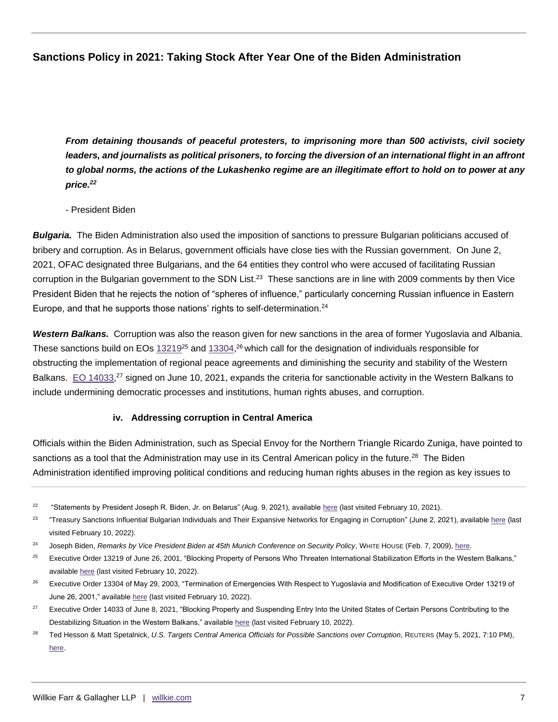*From detaining thousands of peaceful protesters, to imprisoning more than 500 activists, civil society*  leaders, and journalists as political prisoners, to forcing the diversion of an international flight in an affront *to global norms, the actions of the Lukashenko regime are an illegitimate effort to hold on to power at any price.<sup>22</sup>*

- President Biden

*Bulgaria.*The Biden Administration also used the imposition of sanctions to pressure Bulgarian politicians accused of bribery and corruption. As in Belarus, government officials have close ties with the Russian government. On June 2, 2021, OFAC designated three Bulgarians, and the 64 entities they control who were accused of facilitating Russian corruption in the Bulgarian government to the SDN List.<sup>23</sup> These sanctions are in line with 2009 comments by then Vice President Biden that he rejects the notion of "spheres of influence," particularly concerning Russian influence in Eastern Europe, and that he supports those nations' rights to self-determination.<sup>24</sup>

*Western Balkans.*Corruption was also the reason given for new sanctions in the area of former Yugoslavia and Albania. These sanctions build on EOs  $13219^{25}$  and  $13304$ ,<sup>26</sup> which call for the designation of individuals responsible for obstructing the implementation of regional peace agreements and diminishing the security and stability of the Western Balkans. [EO 14033,](https://www.govinfo.gov/content/pkg/FR-2021-06-10/pdf/2021-12382.pdf)<sup>27</sup> signed on June 10, 2021, expands the criteria for sanctionable activity in the Western Balkans to include undermining democratic processes and institutions, human rights abuses, and corruption.

## **iv. Addressing corruption in Central America**

Officials within the Biden Administration, such as Special Envoy for the Northern Triangle Ricardo Zuniga, have pointed to sanctions as a tool that the Administration may use in its Central American policy in the future.<sup>28</sup> The Biden Administration identified improving political conditions and reducing human rights abuses in the region as key issues to

<sup>&</sup>lt;sup>22</sup> "Statements by President Joseph R. Biden, Jr. on Belarus" (Aug. 9, 2021), availabl[e here](https://www.whitehouse.gov/briefing-room/statements-releases/2021/08/09/statement-by-president-joseph-r-biden-jr-on-belarus/) (last visited February 10, 2021).

<sup>23</sup> "Treasury Sanctions Influential Bulgarian Individuals and Their Expansive Networks for Engaging in Corruption" (June 2, 2021), available [here](https://home.treasury.gov/news/press-releases/jy0208) (last visited February 10, 2022).

<sup>24</sup> Joseph Biden, *Remarks by Vice President Biden at 45th Munich Conference on Security Policy*, WHITE HOUSE (Feb. 7, 2009), [here.](https://obamawhitehouse.archives.gov/the-press-office/remarks-vice-president-biden-45th-munich-conference-security-policy)

<sup>&</sup>lt;sup>25</sup> Executive Order 13219 of June 26, 2001, "Blocking Property of Persons Who Threaten International Stabilization Efforts in the Western Balkans," available [here](https://www.govinfo.gov/content/pkg/FR-2001-06-29/pdf/01-16668.pdf) (last visited February 10, 2022).

<sup>&</sup>lt;sup>26</sup> Executive Order 13304 of May 29, 2003, "Termination of Emergencies With Respect to Yugoslavia and Modification of Executive Order 13219 of June 26, 2001," availabl[e here](https://www.govinfo.gov/content/pkg/FR-2003-05-29/pdf/03-13694.pdf) (last visited February 10, 2022).

<sup>&</sup>lt;sup>27</sup> Executive Order 14033 of June 8, 2021, "Blocking Property and Suspending Entry Into the United States of Certain Persons Contributing to the Destabilizing Situation in the Western Balkans," available [here](https://www.govinfo.gov/content/pkg/FR-2021-06-10/pdf/2021-12382.pdf) (last visited February 10, 2022).

<sup>&</sup>lt;sup>28</sup> Ted Hesson & Matt Spetalnick, U.S. Targets Central America Officials for Possible Sanctions over Corruption, REUTERS (May 5, 2021, 7:10 PM), [here.](https://www.reuters.com/world/americas/exclusive-us-targets-central-america-officialsfor-possible-sanctions-over-2021-05-05/)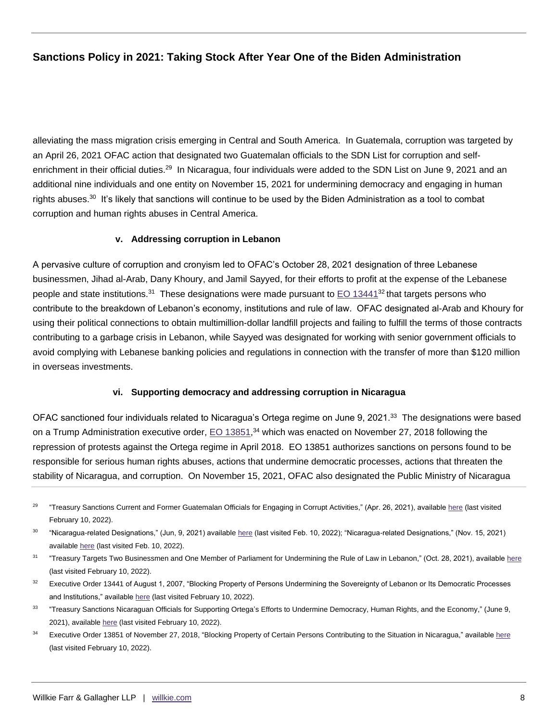alleviating the mass migration crisis emerging in Central and South America. In Guatemala, corruption was targeted by an April 26, 2021 OFAC action that designated two Guatemalan officials to the SDN List for corruption and selfenrichment in their official duties.<sup>29</sup> In Nicaragua, four individuals were added to the SDN List on June 9, 2021 and an additional nine individuals and one entity on November 15, 2021 for undermining democracy and engaging in human rights abuses. $^\mathrm{30}$  It's likely that sanctions will continue to be used by the Biden Administration as a tool to combat corruption and human rights abuses in Central America.

#### **v. Addressing corruption in Lebanon**

A pervasive culture of corruption and cronyism led to OFAC's October 28, 2021 designation of three Lebanese businessmen, Jihad al-Arab, Dany Khoury, and Jamil Sayyed, for their efforts to profit at the expense of the Lebanese people and state institutions.<sup>31</sup> These designations were made pursuant to [EO 13441](https://www.govinfo.gov/content/pkg/WCPD-2007-08-06/pdf/WCPD-2007-08-06-Pg1035-2.pdf)<sup>32</sup> that targets persons who contribute to the breakdown of Lebanon's economy, institutions and rule of law. OFAC designated al-Arab and Khoury for using their political connections to obtain multimillion-dollar landfill projects and failing to fulfill the terms of those contracts contributing to a garbage crisis in Lebanon, while Sayyed was designated for working with senior government officials to avoid complying with Lebanese banking policies and regulations in connection with the transfer of more than \$120 million in overseas investments.

#### **vi. Supporting democracy and addressing corruption in Nicaragua**

OFAC sanctioned four individuals related to Nicaragua's Ortega regime on June 9, 2021.<sup>33</sup> The designations were based on a Trump Administration executive order, [EO 13851,](https://www.govinfo.gov/content/pkg/FR-2018-11-29/pdf/2018-26156.pdf)<sup>34</sup> which was enacted on November 27, 2018 following the repression of protests against the Ortega regime in April 2018. EO 13851 authorizes sanctions on persons found to be responsible for serious human rights abuses, actions that undermine democratic processes, actions that threaten the stability of Nicaragua, and corruption. On November 15, 2021, OFAC also designated the Public Ministry of Nicaragua

- 31 "Treasury Targets Two Businessmen and One Member of Parliament for Undermining the Rule of Law in Lebanon," (Oct. 28, 2021), availabl[e here](https://home.treasury.gov/news/press-releases/jy0440) (last visited February 10, 2022).
- <sup>32</sup> Executive Order 13441 of August 1, 2007, "Blocking Property of Persons Undermining the Sovereignty of Lebanon or Its Democratic Processes and Institutions," availabl[e here](https://www.govinfo.gov/content/pkg/WCPD-2007-08-06/pdf/WCPD-2007-08-06-Pg1035-2.pdf) (last visited February 10, 2022).
- 33 "Treasury Sanctions Nicaraguan Officials for Supporting Ortega's Efforts to Undermine Democracy, Human Rights, and the Economy," (June 9, 2021), availabl[e here](https://home.treasury.gov/news/press-releases/jy0218) (last visited February 10, 2022).
- <sup>34</sup> Executive Order 13851 of November 27, 2018, "Blocking Property of Certain Persons Contributing to the Situation in Nicaragua," availabl[e here](https://www.govinfo.gov/content/pkg/FR-2018-11-29/pdf/2018-26156.pdf) (last visited February 10, 2022).

<sup>29</sup> "Treasury Sanctions Current and Former Guatemalan Officials for Engaging in Corrupt Activities," (Apr. 26, 2021), available [here](https://home.treasury.gov/news/press-releases/jy0147) (last visited February 10, 2022).

<sup>&</sup>lt;sup>30</sup> "Nicaragua-related Designations," (Jun, 9, 2021) availabl[e here](https://home.treasury.gov/policy-issues/financial-sanctions/recent-actions/20210609) (last visited Feb. 10, 2022); "Nicaragua-related Designations," (Nov. 15, 2021) available [here](https://home.treasury.gov/policy-issues/financial-sanctions/recent-actions/20211115) (last visited Feb. 10, 2022).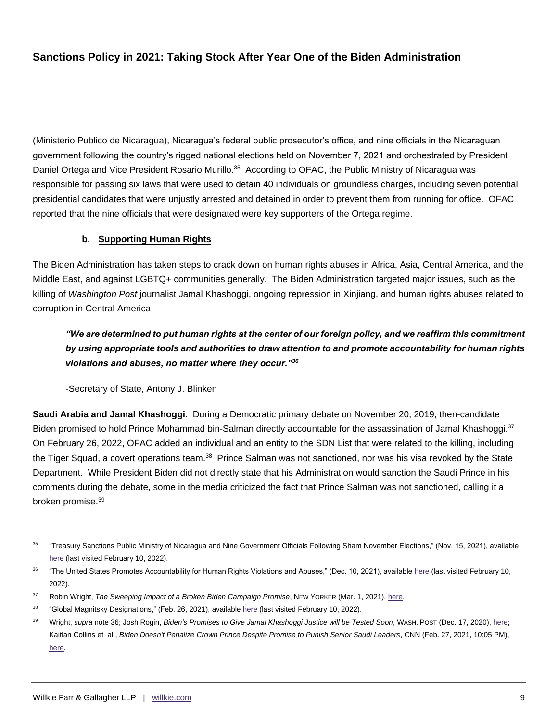(Ministerio Publico de Nicaragua), Nicaragua's federal public prosecutor's office, and nine officials in the Nicaraguan government following the country's rigged national elections held on November 7, 2021 and orchestrated by President Daniel Ortega and Vice President Rosario Murillo.<sup>35</sup> According to OFAC, the Public Ministry of Nicaragua was responsible for passing six laws that were used to detain 40 individuals on groundless charges, including seven potential presidential candidates that were unjustly arrested and detained in order to prevent them from running for office. OFAC reported that the nine officials that were designated were key supporters of the Ortega regime.

## **b. Supporting Human Rights**

The Biden Administration has taken steps to crack down on human rights abuses in Africa, Asia, Central America, and the Middle East, and against LGBTQ+ communities generally. The Biden Administration targeted major issues, such as the killing of *Washington Post* journalist Jamal Khashoggi, ongoing repression in Xinjiang, and human rights abuses related to corruption in Central America.

*"We are determined to put human rights at the center of our foreign policy, and we reaffirm this commitment by using appropriate tools and authorities to draw attention to and promote accountability for human rights violations and abuses, no matter where they occur."<sup>36</sup>*

-Secretary of State, Antony J. Blinken

**Saudi Arabia and Jamal Khashoggi.** During a Democratic primary debate on November 20, 2019, then-candidate Biden promised to hold Prince Mohammad bin-Salman directly accountable for the assassination of Jamal Khashoggi.<sup>37</sup> On February 26, 2022, OFAC added an individual and an entity to the SDN List that were related to the killing, including the Tiger Squad, a covert operations team.<sup>38</sup> Prince Salman was not sanctioned, nor was his visa revoked by the State Department. While President Biden did not directly state that his Administration would sanction the Saudi Prince in his comments during the debate, some in the media criticized the fact that Prince Salman was not sanctioned, calling it a broken promise.<sup>39</sup>

<sup>35</sup> "Treasury Sanctions Public Ministry of Nicaragua and Nine Government Officials Following Sham November Elections," (Nov. 15, 2021), available [here](https://home.treasury.gov/news/press-releases/jy0481) (last visited February 10, 2022).

<sup>&</sup>lt;sup>36</sup> "The United States Promotes Accountability for Human Rights Violations and Abuses," (Dec. 10, 2021), available [here](https://www.state.gov/the-united-states-promotes-accountability-for-human-rights-violations-and-abuses/) (last visited February 10, 2022).

<sup>&</sup>lt;sup>37</sup> Robin Wright, *The Sweeping Impact of a Broken Biden Campaign Promise*, NEW YORKER (Mar. 1, 2021), [here.](https://www.newyorker.com/news/our-columnists/biden-betrayed-his-promise-to-defend-human-rights-and-jamal-khashoggi)

<sup>38</sup> "Global Magnitsky Designations," (Feb. 26, 2021), availabl[e here](https://home.treasury.gov/policy-issues/financial-sanctions/recent-actions/2021022) (last visited February 10, 2022).

<sup>39</sup> Wright, *supra* note 36; Josh Rogin, *Biden's Promises to Give Jamal Khashoggi Justice will be Tested Soon*, WASH. POST (Dec. 17, 2020), [here;](https://www.washingtonpost.com/opinions/global-opinions/bidens-promises-to-give-jamal-khashoggi-justice-will-be-tested-soon/2020/12/17/5eabdcf2-40a8-11eb-8bc0-ae155bee4aff_story.html)  Kaitlan Collins et al., *Biden Doesn't Penalize Crown Prince Despite Promise to Punish Senior Saudi Leaders*, CNN (Feb. 27, 2021, 10:05 PM), [here.](https://www.cnn.com/2021/02/26/politics/biden-mohammed-bin-salman-jamal-khashoggi/index.html)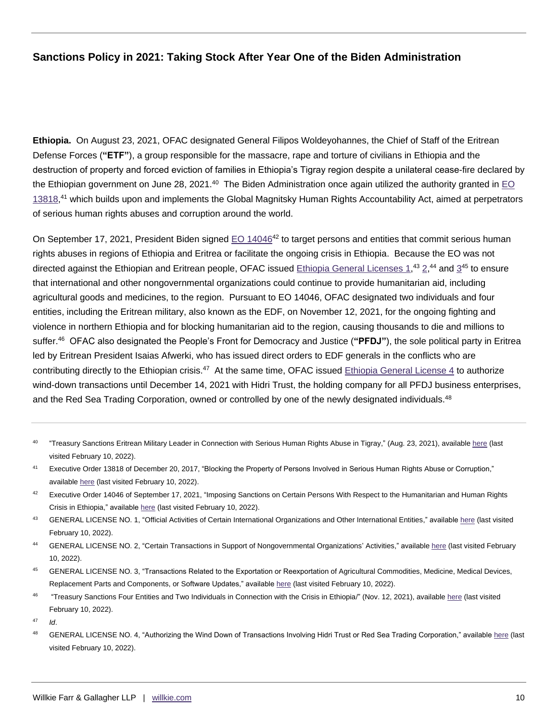**Ethiopia.** On August 23, 2021, OFAC designated General Filipos Woldeyohannes, the Chief of Staff of the Eritrean Defense Forces (**"ETF"**), a group responsible for the massacre, rape and torture of civilians in Ethiopia and the destruction of property and forced eviction of families in Ethiopia's Tigray region despite a unilateral cease-fire declared by the Ethiopian government on June 28, 2021.<sup>40</sup> The Biden Administration once again utilized the authority granted in EO [13818,](https://www.govinfo.gov/content/pkg/FR-2017-12-26/pdf/2017-27925.pdf)<sup>41</sup> which builds upon and implements the Global Magnitsky Human Rights Accountability Act, aimed at perpetrators of serious human rights abuses and corruption around the world.

On September 17, 2021, President Biden signed [EO 14046](https://www.federalregister.gov/documents/2021/09/21/2021-20508/imposing-sanctions-on-certain-persons-with-respect-to-the-humanitarian-and-human-rights-crisis-in)<sup>42</sup> to target persons and entities that commit serious human rights abuses in regions of Ethiopia and Eritrea or facilitate the ongoing crisis in Ethiopia. Because the EO was not directed against the Ethiopian and Eritrean people, OFAC issued [Ethiopia General Licenses 1,](https://home.treasury.gov/system/files/126/ethiopia_gl1.pdf)<sup>43</sup> [2,](https://home.treasury.gov/system/files/126/ethiopia_gl2.pdf)<sup>44</sup> and [3](https://home.treasury.gov/system/files/126/ethiopia_gl3.pdf)<sup>45</sup> to ensure that international and other nongovernmental organizations could continue to provide humanitarian aid, including agricultural goods and medicines, to the region. Pursuant to EO 14046, OFAC designated two individuals and four entities, including the Eritrean military, also known as the EDF, on November 12, 2021, for the ongoing fighting and violence in northern Ethiopia and for blocking humanitarian aid to the region, causing thousands to die and millions to suffer.<sup>46</sup> OFAC also designated the People's Front for Democracy and Justice (**"PFDJ"**), the sole political party in Eritrea led by Eritrean President Isaias Afwerki, who has issued direct orders to EDF generals in the conflicts who are contributing directly to the Ethiopian crisis.<sup>47</sup> At the same time, OFAC issued Ethiopia General License  $4$  to authorize wind-down transactions until December 14, 2021 with Hidri Trust, the holding company for all PFDJ business enterprises, and the Red Sea Trading Corporation, owned or controlled by one of the newly designated individuals.<sup>48</sup>

- 40 "Treasury Sanctions Eritrean Military Leader in Connection with Serious Human Rights Abuse in Tigray," (Aug. 23, 2021), availabl[e here](https://home.treasury.gov/news/press-releases/jy0329) (last visited February 10, 2022).
- <sup>41</sup> Executive Order 13818 of December 20, 2017, "Blocking the Property of Persons Involved in Serious Human Rights Abuse or Corruption," available [here](https://www.govinfo.gov/content/pkg/FR-2017-12-26/pdf/2017-27925.pdf) (last visited February 10, 2022).
- $42$  Executive Order 14046 of September 17, 2021, "Imposing Sanctions on Certain Persons With Respect to the Humanitarian and Human Rights Crisis in Ethiopia," availabl[e here](https://www.federalregister.gov/documents/2021/09/21/2021-20508/imposing-sanctions-on-certain-persons-with-respect-to-the-humanitarian-and-human-rights-crisis-in-ethiopia) (last visited February 10, 2022).
- <sup>43</sup> GENERAL LICENSE NO. 1, "Official Activities of Certain International Organizations and Other International Entities," availabl[e here](https://home.treasury.gov/system/files/126/ethiopia_gl1.pdf) (last visited February 10, 2022).
- 44 GENERAL LICENSE NO. 2, "Certain Transactions in Support of Nongovernmental Organizations' Activities," availabl[e here](https://home.treasury.gov/system/files/126/ethiopia_gl2.pdf) (last visited February 10, 2022).
- 45 GENERAL LICENSE NO. 3, "Transactions Related to the Exportation or Reexportation of Agricultural Commodities, Medicine, Medical Devices, Replacement Parts and Components, or Software Updates," availabl[e here](https://home.treasury.gov/system/files/126/ethiopia_gl3.pdf) (last visited February 10, 2022).
- 46 "Treasury Sanctions Four Entities and Two Individuals in Connection with the Crisis in Ethiopia/" (Nov. 12, 2021), available [here](https://home.treasury.gov/news/press-releases/jy0478) (last visited February 10, 2022).
- <sup>47</sup> *Id*.
- <sup>48</sup> GENERAL LICENSE NO. 4, "Authorizing the Wind Down of Transactions Involving Hidri Trust or Red Sea Trading Corporation," available [here](https://home.treasury.gov/system/files/126/ethiopia_gl4.pdf) (last visited February 10, 2022).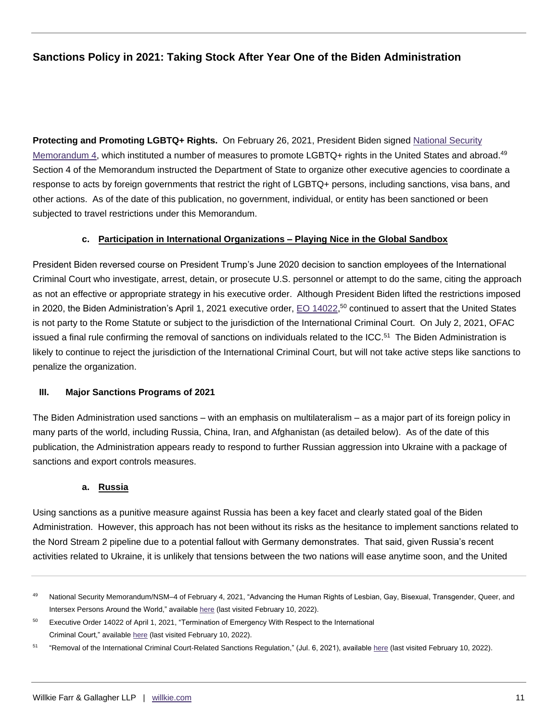**Protecting and Promoting LGBTQ+ Rights.** On February 26, 2021, President Biden signed [National Security](https://www.govinfo.gov/content/pkg/FR-2021-02-26/pdf/2021-04237.pdf)  [Memorandum 4,](https://www.govinfo.gov/content/pkg/FR-2021-02-26/pdf/2021-04237.pdf) which instituted a number of measures to promote LGBTQ+ rights in the United States and abroad.<sup>49</sup> Section 4 of the Memorandum instructed the Department of State to organize other executive agencies to coordinate a response to acts by foreign governments that restrict the right of LGBTQ+ persons, including sanctions, visa bans, and other actions. As of the date of this publication, no government, individual, or entity has been sanctioned or been subjected to travel restrictions under this Memorandum.

#### **c. Participation in International Organizations – Playing Nice in the Global Sandbox**

President Biden reversed course on President Trump's June 2020 decision to sanction employees of the International Criminal Court who investigate, arrest, detain, or prosecute U.S. personnel or attempt to do the same, citing the approach as not an effective or appropriate strategy in his executive order. Although President Biden lifted the restrictions imposed in 2020, the Biden Administration's April 1, 2021 executive order,  $\underline{\mathsf{EO}}$  14022,<sup>50</sup> continued to assert that the United States is not party to the Rome Statute or subject to the jurisdiction of the International Criminal Court. On July 2, 2021, OFAC issued a final rule confirming the removal of sanctions on individuals related to the ICC.<sup>51</sup> The Biden Administration is likely to continue to reject the jurisdiction of the International Criminal Court, but will not take active steps like sanctions to penalize the organization.

#### **III. Major Sanctions Programs of 2021**

The Biden Administration used sanctions – with an emphasis on multilateralism – as a major part of its foreign policy in many parts of the world, including Russia, China, Iran, and Afghanistan (as detailed below). As of the date of this publication, the Administration appears ready to respond to further Russian aggression into Ukraine with a package of sanctions and export controls measures.

#### **a. Russia**

Using sanctions as a punitive measure against Russia has been a key facet and clearly stated goal of the Biden Administration. However, this approach has not been without its risks as the hesitance to implement sanctions related to the Nord Stream 2 pipeline due to a potential fallout with Germany demonstrates. That said, given Russia's recent activities related to Ukraine, it is unlikely that tensions between the two nations will ease anytime soon, and the United

<sup>49</sup> National Security Memorandum/NSM-4 of February 4, 2021, "Advancing the Human Rights of Lesbian, Gay, Bisexual, Transgender, Queer, and Intersex Persons Around the World," availabl[e here](https://www.govinfo.gov/content/pkg/FR-2021-02-26/pdf/2021-04237.pdf) (last visited February 10, 2022).

<sup>&</sup>lt;sup>50</sup> Executive Order 14022 of April 1, 2021, "Termination of Emergency With Respect to the International Criminal Court," available [here](https://www.govinfo.gov/content/pkg/FR-2021-04-07/pdf/2021-07239.pdf) (last visited February 10, 2022).

<sup>51</sup> "Removal of the International Criminal Court-Related Sanctions Regulation," (Jul. 6, 2021), available [here](https://home.treasury.gov/policy-issues/financial-sanctions/recent-actions/20210702_33) (last visited February 10, 2022).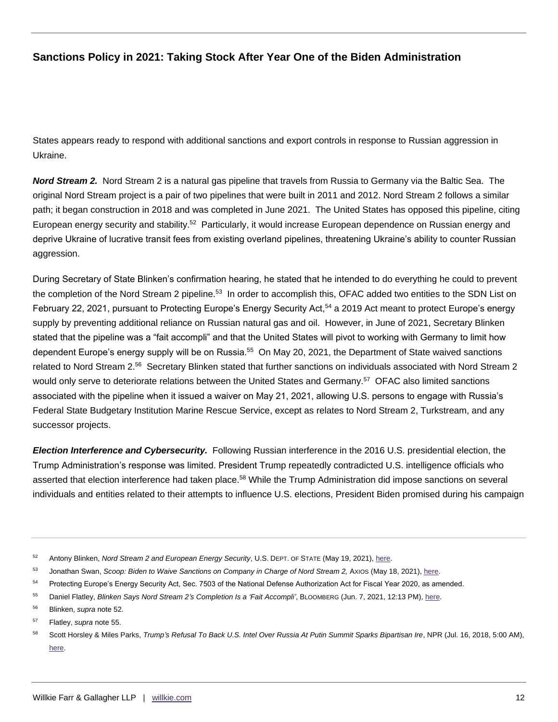States appears ready to respond with additional sanctions and export controls in response to Russian aggression in Ukraine.

*Nord Stream 2.* Nord Stream 2 is a natural gas pipeline that travels from Russia to Germany via the Baltic Sea. The original Nord Stream project is a pair of two pipelines that were built in 2011 and 2012. Nord Stream 2 follows a similar path; it began construction in 2018 and was completed in June 2021. The United States has opposed this pipeline, citing European energy security and stability.<sup>52</sup> Particularly, it would increase European dependence on Russian energy and deprive Ukraine of lucrative transit fees from existing overland pipelines, threatening Ukraine's ability to counter Russian aggression.

During Secretary of State Blinken's confirmation hearing, he stated that he intended to do everything he could to prevent the completion of the Nord Stream 2 pipeline.<sup>53</sup> In order to accomplish this, OFAC added two entities to the SDN List on February 22, 2021, pursuant to Protecting Europe's Energy Security Act,<sup>54</sup> a 2019 Act meant to protect Europe's energy supply by preventing additional reliance on Russian natural gas and oil. However, in June of 2021, Secretary Blinken stated that the pipeline was a "fait accompli" and that the United States will pivot to working with Germany to limit how dependent Europe's energy supply will be on Russia.<sup>55</sup> On May 20, 2021, the Department of State waived sanctions related to Nord Stream 2.<sup>56</sup> Secretary Blinken stated that further sanctions on individuals associated with Nord Stream 2 would only serve to deteriorate relations between the United States and Germany.<sup>57</sup> OFAC also limited sanctions associated with the pipeline when it issued a waiver on May 21, 2021, allowing U.S. persons to engage with Russia's Federal State Budgetary Institution Marine Rescue Service, except as relates to Nord Stream 2, Turkstream, and any successor projects.

*Election Interference and Cybersecurity.* Following Russian interference in the 2016 U.S. presidential election, the Trump Administration's response was limited. President Trump repeatedly contradicted U.S. intelligence officials who asserted that election interference had taken place.<sup>58</sup> While the Trump Administration did impose sanctions on several individuals and entities related to their attempts to influence U.S. elections, President Biden promised during his campaign

<sup>52</sup> Antony Blinken, *Nord Stream 2 and European Energy Security*, U.S. DEPT. OF STATE (May 19, 2021), [here.](https://www.state.gov/nord-stream-2-and-european-energy-security/)

<sup>53</sup> Jonathan Swan, *Scoop: Biden to Waive Sanctions on Company in Charge of Nord Stream 2, Axios (May 18, 2021), [here.](https://www.axios.com/nord-stream-sanction-biden-russia-f6db2ae3-2c89-4343-b326-9f399d674077.html)* 

<sup>54</sup> Protecting Europe's Energy Security Act, Sec. 7503 of the National Defense Authorization Act for Fiscal Year 2020, as amended.

<sup>55</sup> Daniel Flatley, *Blinken Says Nord Stream 2's Completion Is a 'Fait Accompli'*, BLOOMBERG (Jun. 7, 2021, 12:13 PM), [here.](https://www.bloomberg.com/news/articles/2021-06-07/blinken-says-nord-stream-2-s-completion-is-a-fait-accompli)

<sup>56</sup> Blinken, *supra* note 52.

<sup>57</sup> Flatley, *supra* note 55.

<sup>58</sup> Scott Horsley & Miles Parks, *Trump's Refusal To Back U.S. Intel Over Russia At Putin Summit Sparks Bipartisan Ire*, NPR (Jul. 16, 2018, 5:00 AM), [here.](https://www.npr.org/2018/07/16/628973563/trump-putin-to-meet-after-new-charges-over-russias-2016-election-interference)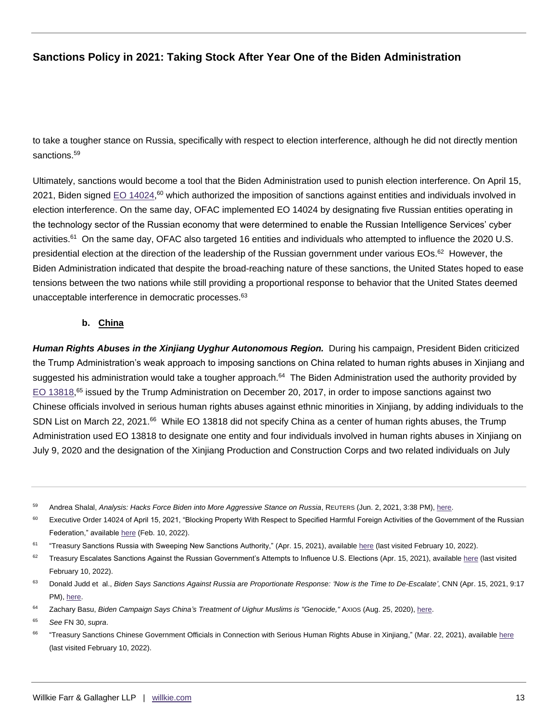to take a tougher stance on Russia, specifically with respect to election interference, although he did not directly mention sanctions.<sup>59</sup>

Ultimately, sanctions would become a tool that the Biden Administration used to punish election interference. On April 15, 2021, Biden signed [EO 14024,](https://www.govinfo.gov/content/pkg/FR-2021-04-19/pdf/2021-08098.pdf)<sup>60</sup> which authorized the imposition of sanctions against entities and individuals involved in election interference. On the same day, OFAC implemented EO 14024 by designating five Russian entities operating in the technology sector of the Russian economy that were determined to enable the Russian Intelligence Services' cyber activities.<sup>61</sup> On the same day, OFAC also targeted 16 entities and individuals who attempted to influence the 2020 U.S. presidential election at the direction of the leadership of the Russian government under various EOs.<sup>62</sup> However, the Biden Administration indicated that despite the broad-reaching nature of these sanctions, the United States hoped to ease tensions between the two nations while still providing a proportional response to behavior that the United States deemed unacceptable interference in democratic processes.<sup>63</sup>

## **b. China**

*Human Rights Abuses in the Xinjiang Uyghur Autonomous Region.*During his campaign, President Biden criticized the Trump Administration's weak approach to imposing sanctions on China related to human rights abuses in Xinjiang and suggested his administration would take a tougher approach.<sup>64</sup> The Biden Administration used the authority provided by [EO 13818,](https://www.govinfo.gov/content/pkg/FR-2017-12-26/pdf/2017-27925.pdf)<sup>65</sup> issued by the Trump Administration on December 20, 2017, in order to impose sanctions against two Chinese officials involved in serious human rights abuses against ethnic minorities in Xinjiang, by adding individuals to the SDN List on March 22, 2021.<sup>66</sup> While EO 13818 did not specify China as a center of human rights abuses, the Trump Administration used EO 13818 to designate one entity and four individuals involved in human rights abuses in Xinjiang on July 9, 2020 and the designation of the Xinjiang Production and Construction Corps and two related individuals on July

<sup>59</sup> Andrea Shalal, *Analysis: Hacks Force Biden into More Aggressive Stance on Russia*, REUTERS (Jun. 2, 2021, 3:38 PM), [here.](https://www.reuters.com/technology/hacks-force-biden-into-more-aggressive-stance-russia-2021-06-02/)

<sup>&</sup>lt;sup>60</sup> Executive Order 14024 of April 15, 2021, "Blocking Property With Respect to Specified Harmful Foreign Activities of the Government of the Russian Federation," available [here](https://www.govinfo.gov/content/pkg/FR-2021-04-19/pdf/2021-08098.pdf) (Feb. 10, 2022).

<sup>61</sup> "Treasury Sanctions Russia with Sweeping New Sanctions Authority," (Apr. 15, 2021), available [here](https://home.treasury.gov/news/press-releases/jy0127) (last visited February 10, 2022).

 $62$  Treasury Escalates Sanctions Against the Russian Government's Attempts to Influence U.S. Elections (Apr. 15, 2021), available [here](https://home.treasury.gov/news/press-releases/jy0126) (last visited February 10, 2022).

<sup>63</sup> Donald Judd et al., *Biden Says Sanctions Against Russia are Proportionate Response: 'Now is the Time to De-Escalate'*, CNN (Apr. 15, 2021, 9:17 PM), [here.](https://www.cnn.com/2021/04/15/politics/russia-joe-biden/index.html)

<sup>64</sup> Zachary Basu, *Biden Campaign Says China's Treatment of Uighur Muslims is "Genocide,"* AXIOS (Aug. 25, 2020), [here.](https://www.axios.com/biden-campaign-china-uighur-genocide-3ad857a7-abfe-4b16-813d-7f074a8a04ba.html)

<sup>65</sup> *See* FN 30, *supra*.

<sup>66</sup> "Treasury Sanctions Chinese Government Officials in Connection with Serious Human Rights Abuse in Xinjiang," (Mar. 22, 2021), available [here](https://home.treasury.gov/news/press-releases/jy0070) (last visited February 10, 2022).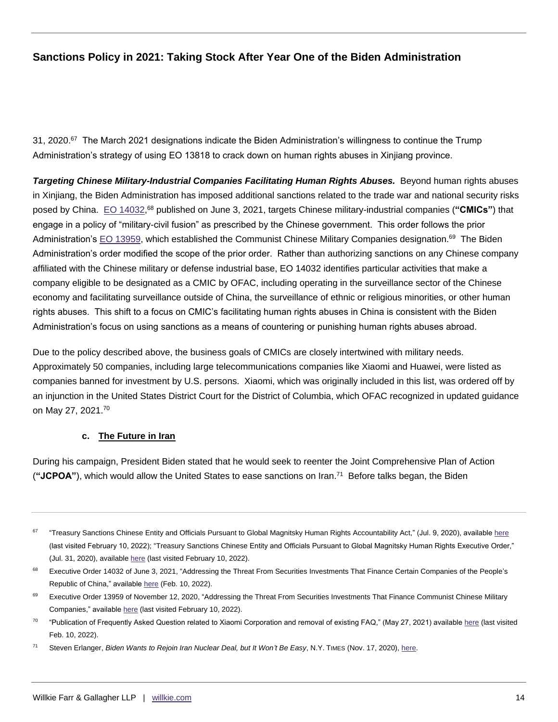31, 2020.<sup>67</sup> The March 2021 designations indicate the Biden Administration's willingness to continue the Trump Administration's strategy of using EO 13818 to crack down on human rights abuses in Xinjiang province.

Targeting Chinese Military-Industrial Companies Facilitating Human Rights Abuses. Beyond human rights abuses in Xinjiang, the Biden Administration has imposed additional sanctions related to the trade war and national security risks posed by China. <u>[EO 14032,](https://www.govinfo.gov/content/pkg/FR-2021-06-07/pdf/2021-12019.pdf)<sup>68</sup> published on June 3, 2021,</u> targets Chinese military-industrial companies (**"CMICs"**) that engage in a policy of "military-civil fusion" as prescribed by the Chinese government. This order follows the prior Administration's [EO 13959,](https://home.treasury.gov/system/files/126/venezuela_gl39.pdf) which established the Communist Chinese Military Companies designation.<sup>69</sup> The Biden Administration's order modified the scope of the prior order. Rather than authorizing sanctions on any Chinese company affiliated with the Chinese military or defense industrial base, EO 14032 identifies particular activities that make a company eligible to be designated as a CMIC by OFAC, including operating in the surveillance sector of the Chinese economy and facilitating surveillance outside of China, the surveillance of ethnic or religious minorities, or other human rights abuses. This shift to a focus on CMIC's facilitating human rights abuses in China is consistent with the Biden Administration's focus on using sanctions as a means of countering or punishing human rights abuses abroad.

Due to the policy described above, the business goals of CMICs are closely intertwined with military needs. Approximately 50 companies, including large telecommunications companies like Xiaomi and Huawei, were listed as companies banned for investment by U.S. persons. Xiaomi, which was originally included in this list, was ordered off by an injunction in the United States District Court for the District of Columbia, which OFAC recognized in updated guidance on May 27, 2021.<sup>70</sup>

#### **c. The Future in Iran**

During his campaign, President Biden stated that he would seek to reenter the Joint Comprehensive Plan of Action ("JCPOA"), which would allow the United States to ease sanctions on Iran.<sup>71</sup> Before talks began, the Biden

<sup>67</sup> "Treasury Sanctions Chinese Entity and Officials Pursuant to Global Magnitsky Human Rights Accountability Act," (Jul. 9, 2020), availabl[e here](https://home.treasury.gov/news/press-releases/sm1055) (last visited February 10, 2022); "Treasury Sanctions Chinese Entity and Officials Pursuant to Global Magnitsky Human Rights Executive Order," (Jul. 31, 2020), availabl[e here](https://home.treasury.gov/news/press-releases/sm1073) (last visited February 10, 2022).

<sup>&</sup>lt;sup>68</sup> Executive Order 14032 of June 3, 2021, "Addressing the Threat From Securities Investments That Finance Certain Companies of the People's Republic of China," available [here](https://www.govinfo.gov/content/pkg/FR-2021-06-07/pdf/2021-12019.pdf) (Feb. 10, 2022).

<sup>&</sup>lt;sup>69</sup> Executive Order 13959 of November 12, 2020, "Addressing the Threat From Securities Investments That Finance Communist Chinese Military Companies," availabl[e here](https://home.treasury.gov/system/files/126/13959.pdf) (last visited February 10, 2022).

<sup>&</sup>lt;sup>70</sup> "Publication of Frequently Asked Question related to Xiaomi Corporation and removal of existing FAQ," (May 27, 2021) available [here](https://home.treasury.gov/policy-issues/financial-sanctions/recent-actions/20210527_43) (last visited Feb. 10, 2022).

<sup>71</sup> Steven Erlanger, *Biden Wants to Rejoin Iran Nuclear Deal, but It Won't Be Easy*, N.Y. TIMES (Nov. 17, 2020), [here.](https://www.nytimes.com/2020/11/17/world/middleeast/iran-biden-trump-nuclear-sanctions.html)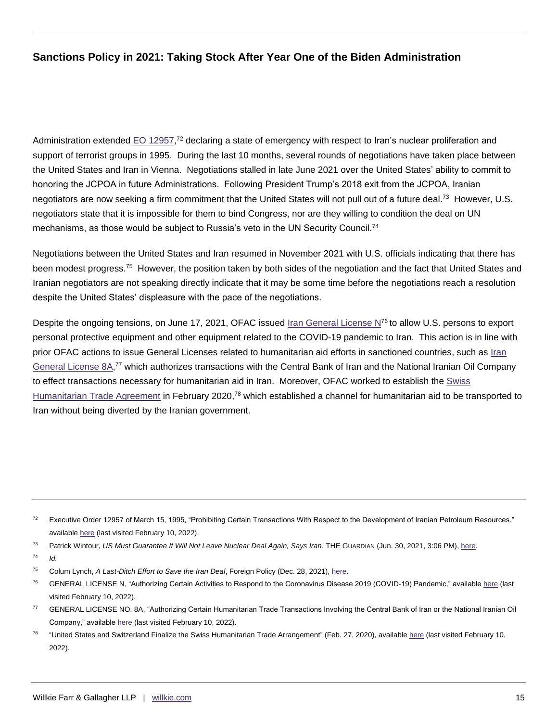Administration extended  $EO$  12957,<sup>72</sup> declaring a state of emergency with respect to Iran's nuclear proliferation and support of terrorist groups in 1995. During the last 10 months, several rounds of negotiations have taken place between the United States and Iran in Vienna. Negotiations stalled in late June 2021 over the United States' ability to commit to honoring the JCPOA in future Administrations. Following President Trump's 2018 exit from the JCPOA, Iranian negotiators are now seeking a firm commitment that the United States will not pull out of a future deal.<sup>73</sup> However, U.S. negotiators state that it is impossible for them to bind Congress, nor are they willing to condition the deal on UN mechanisms, as those would be subject to Russia's veto in the UN Security Council.<sup>74</sup>

Negotiations between the United States and Iran resumed in November 2021 with U.S. officials indicating that there has been modest progress.<sup>75</sup> However, the position taken by both sides of the negotiation and the fact that United States and Iranian negotiators are not speaking directly indicate that it may be some time before the negotiations reach a resolution despite the United States' displeasure with the pace of the negotiations.

Despite the ongoing tensions, on June 17, 2021, OFAC issued [Iran General License N](https://home.treasury.gov/system/files/126/iran_gln.pdf)<sup>76</sup> to allow U.S. persons to export personal protective equipment and other equipment related to the COVID-19 pandemic to Iran. This action is in line with prior OFAC actions to issue General Licenses related to humanitarian aid efforts in sanctioned countries, such as [Iran](https://home.treasury.gov/system/files/126/iran_gl8a.pdf)  [General License 8A,](https://home.treasury.gov/system/files/126/iran_gl8a.pdf)<sup>77</sup> which authorizes transactions with the Central Bank of Iran and the National Iranian Oil Company to effect transactions necessary for humanitarian aid in Iran. Moreover, OFAC worked to establish the [Swiss](https://home.treasury.gov/news/press-releases/sm919)  [Humanitarian Trade Agreement](https://home.treasury.gov/news/press-releases/sm919) in February 2020,<sup>78</sup> which established a channel for humanitarian aid to be transported to Iran without being diverted by the Iranian government.

- <sup>77</sup> GENERAL LICENSE NO. 8A, "Authorizing Certain Humanitarian Trade Transactions Involving the Central Bank of Iran or the National Iranian Oil Company," available [here](https://home.treasury.gov/system/files/126/iran_gl8a.pdf) (last visited February 10, 2022).
- 78 "United States and Switzerland Finalize the Swiss Humanitarian Trade Arrangement" (Feb. 27, 2020), availabl[e here](https://home.treasury.gov/news/press-releases/sm919) (last visited February 10, 2022).

 $72$  Executive Order 12957 of March 15, 1995, "Prohibiting Certain Transactions With Respect to the Development of Iranian Petroleum Resources," available [here](https://www.govinfo.gov/content/pkg/WCPD-1995-03-20/pdf/WCPD-1995-03-20-Pg424.pdf) (last visited February 10, 2022).

<sup>73</sup> Patrick Wintour, *US Must Guarantee It Will Not Leave Nuclear Deal Again, Says Iran*, THE GUARDIAN (Jun. 30, 2021, 3:06 PM), [here.](https://www.theguardian.com/world/2021/jun/30/us-must-guarantee-it-will-not-leave-nuclear-deal-again-says-iran)  $^{74}$  *Id.* 

<sup>75</sup> Colum Lynch, *A Last-Ditch Effort to Save the Iran Deal*, Foreign Policy (Dec. 28, 2021), [here.](https://foreignpolicy.com/2021/12/28/iran-nuclear-deal-jcpoa-vienna-capabilities-biden/) 

<sup>76</sup> GENERAL LICENSE N, "Authorizing Certain Activities to Respond to the Coronavirus Disease 2019 (COVID-19) Pandemic," available [here](https://home.treasury.gov/system/files/126/iran_gln.pdf) (last visited February 10, 2022).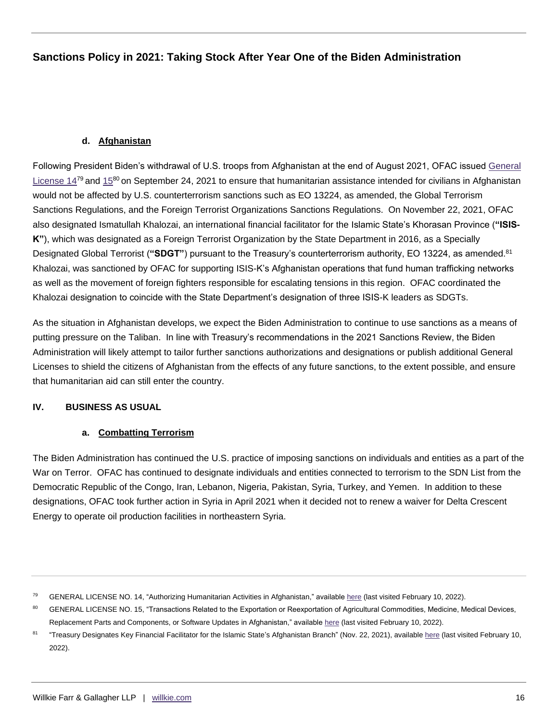## **d. Afghanistan**

Following President Biden's withdrawal of U.S. troops from Afghanistan at the end of August 2021, OFAC issued [General](https://home.treasury.gov/system/files/126/ct_gl14.pdf)  [License 14](https://home.treasury.gov/system/files/126/ct_gl14.pdf)<sup>79</sup> and [15](https://home.treasury.gov/system/files/126/ct_gl15.pdf)<sup>80</sup> on September 24, 2021 to ensure that humanitarian assistance intended for civilians in Afghanistan would not be affected by U.S. counterterrorism sanctions such as EO 13224, as amended, the Global Terrorism Sanctions Regulations, and the Foreign Terrorist Organizations Sanctions Regulations. On November 22, 2021, OFAC also designated Ismatullah Khalozai, an international financial facilitator for the Islamic State's Khorasan Province (**"ISIS-K"**), which was designated as a Foreign Terrorist Organization by the State Department in 2016, as a Specially Designated Global Terrorist (**"SDGT"**) pursuant to the Treasury's counterterrorism authority, EO 13224, as amended.<sup>81</sup> Khalozai, was sanctioned by OFAC for supporting ISIS-K's Afghanistan operations that fund human trafficking networks as well as the movement of foreign fighters responsible for escalating tensions in this region. OFAC coordinated the Khalozai designation to coincide with the State Department's designation of three ISIS-K leaders as SDGTs.

As the situation in Afghanistan develops, we expect the Biden Administration to continue to use sanctions as a means of putting pressure on the Taliban. In line with Treasury's recommendations in the 2021 Sanctions Review, the Biden Administration will likely attempt to tailor further sanctions authorizations and designations or publish additional General Licenses to shield the citizens of Afghanistan from the effects of any future sanctions, to the extent possible, and ensure that humanitarian aid can still enter the country.

## **IV. BUSINESS AS USUAL**

## **a. Combatting Terrorism**

The Biden Administration has continued the U.S. practice of imposing sanctions on individuals and entities as a part of the War on Terror. OFAC has continued to designate individuals and entities connected to terrorism to the SDN List from the Democratic Republic of the Congo, Iran, Lebanon, Nigeria, Pakistan, Syria, Turkey, and Yemen. In addition to these designations, OFAC took further action in Syria in April 2021 when it decided not to renew a waiver for Delta Crescent Energy to operate oil production facilities in northeastern Syria.

<sup>&</sup>lt;sup>79</sup> GENERAL LICENSE NO. 14, "Authorizing Humanitarian Activities in Afghanistan," available [here](https://home.treasury.gov/system/files/126/ct_gl14.pdf) (last visited February 10, 2022).

<sup>80</sup> GENERAL LICENSE NO. 15, "Transactions Related to the Exportation or Reexportation of Agricultural Commodities, Medicine, Medical Devices, Replacement Parts and Components, or Software Updates in Afghanistan," availabl[e here](https://home.treasury.gov/system/files/126/ct_gl15.pdf) (last visited February 10, 2022).

<sup>81</sup> "Treasury Designates Key Financial Facilitator for the Islamic State's Afghanistan Branch" (Nov. 22, 2021), availabl[e here](https://home.treasury.gov/news/press-releases/jy0502) (last visited February 10, 2022).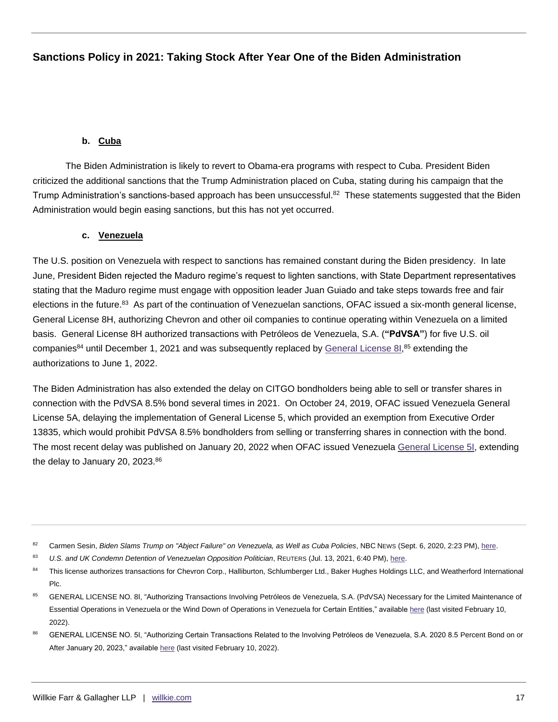## **b. Cuba**

The Biden Administration is likely to revert to Obama-era programs with respect to Cuba. President Biden criticized the additional sanctions that the Trump Administration placed on Cuba, stating during his campaign that the Trump Administration's sanctions-based approach has been unsuccessful.<sup>82</sup> These statements suggested that the Biden Administration would begin easing sanctions, but this has not yet occurred.

## **c. Venezuela**

The U.S. position on Venezuela with respect to sanctions has remained constant during the Biden presidency. In late June, President Biden rejected the Maduro regime's request to lighten sanctions, with State Department representatives stating that the Maduro regime must engage with opposition leader Juan Guiado and take steps towards free and fair elections in the future.<sup>83</sup> As part of the continuation of Venezuelan sanctions, OFAC issued a six-month general license, General License 8H, authorizing Chevron and other oil companies to continue operating within Venezuela on a limited basis. General License 8H authorized transactions with Petróleos de Venezuela, S.A. (**"PdVSA"**) for five U.S. oil companies<sup>84</sup> until December 1, 2021 and was subsequently replaced by [General License 8I,](https://home.treasury.gov/system/files/126/venezuela_gl8i.pdf)<sup>85</sup> extending the authorizations to June 1, 2022.

The Biden Administration has also extended the delay on CITGO bondholders being able to sell or transfer shares in connection with the PdVSA 8.5% bond several times in 2021. On October 24, 2019, OFAC issued Venezuela General License 5A, delaying the implementation of General License 5, which provided an exemption from Executive Order 13835, which would prohibit PdVSA 8.5% bondholders from selling or transferring shares in connection with the bond. The most recent delay was published on January 20, 2022 when OFAC issued Venezuela [General License 5I,](https://home.treasury.gov/system/files/126/venezuela_gl5i.pdf) extending the delay to January 20, 2023. $86$ 

83 *U.S. and UK Condemn Detention of Venezuelan Opposition Politician*, REUTERS (Jul. 13, 2021, 6:40 PM), here.

- 85 GENERAL LICENSE NO. 8I, "Authorizing Transactions Involving Petróleos de Venezuela, S.A. (PdVSA) Necessary for the Limited Maintenance of Essential Operations in Venezuela or the Wind Down of Operations in Venezuela for Certain Entities," available [here](https://home.treasury.gov/system/files/126/venezuela_gl8i.pdf) (last visited February 10, 2022).
- 86 GENERAL LICENSE NO. 5I, "Authorizing Certain Transactions Related to the Involving Petróleos de Venezuela, S.A. 2020 8.5 Percent Bond on or After January 20, 2023," available [here](https://home.treasury.gov/system/files/126/venezuela_gl5i.pdf) (last visited February 10, 2022).

<sup>82</sup> Carmen Sesin, *Biden Slams Trump on "Abject Failure" on Venezuela, as Well as Cuba Policies*, NBC NEws (Sept. 6, 2020, 2:23 PM), [here.](https://www.nbcnews.com/news/latino/biden-slams-trump-abject-failure-venezuela-well-cuba-policies-n1239356)

<sup>84</sup> This license authorizes transactions for Chevron Corp., Halliburton, Schlumberger Ltd., Baker Hughes Holdings LLC, and Weatherford International Plc.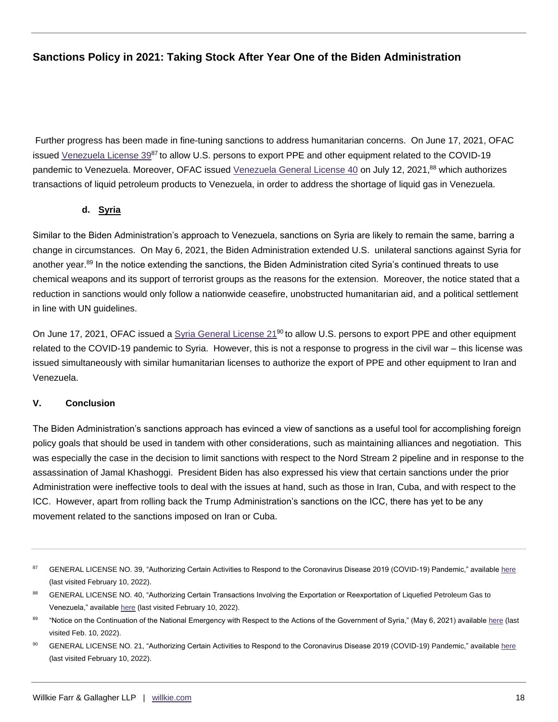Further progress has been made in fine-tuning sanctions to address humanitarian concerns. On June 17, 2021, OFAC issued [Venezuela License 39](https://home.treasury.gov/system/files/126/venezuela_gl39.pdf)<sup>87</sup> to allow U.S. persons to export PPE and other equipment related to the COVID-19 pandemic to Venezuela. Moreover, OFAC issued [Venezuela General License 40](https://home.treasury.gov/system/files/126/venezuela_gl40.pdf) on July 12, 2021,<sup>88</sup> which authorizes transactions of liquid petroleum products to Venezuela, in order to address the shortage of liquid gas in Venezuela.

## **d. Syria**

Similar to the Biden Administration's approach to Venezuela, sanctions on Syria are likely to remain the same, barring a change in circumstances. On May 6, 2021, the Biden Administration extended U.S. unilateral sanctions against Syria for another year.<sup>89</sup> In the notice extending the sanctions, the Biden Administration cited Syria's continued threats to use chemical weapons and its support of terrorist groups as the reasons for the extension. Moreover, the notice stated that a reduction in sanctions would only follow a nationwide ceasefire, unobstructed humanitarian aid, and a political settlement in line with UN guidelines.

On June 17, 2021, OFAC issued a [Syria General License 21](https://home.treasury.gov/system/files/126/syria_gl21.pdf)<sup>90</sup> to allow U.S. persons to export PPE and other equipment related to the COVID-19 pandemic to Syria. However, this is not a response to progress in the civil war – this license was issued simultaneously with similar humanitarian licenses to authorize the export of PPE and other equipment to Iran and Venezuela.

## **V. Conclusion**

The Biden Administration's sanctions approach has evinced a view of sanctions as a useful tool for accomplishing foreign policy goals that should be used in tandem with other considerations, such as maintaining alliances and negotiation. This was especially the case in the decision to limit sanctions with respect to the Nord Stream 2 pipeline and in response to the assassination of Jamal Khashoggi. President Biden has also expressed his view that certain sanctions under the prior Administration were ineffective tools to deal with the issues at hand, such as those in Iran, Cuba, and with respect to the ICC. However, apart from rolling back the Trump Administration's sanctions on the ICC, there has yet to be any movement related to the sanctions imposed on Iran or Cuba.

<sup>87</sup> GENERAL LICENSE NO. 39, "Authorizing Certain Activities to Respond to the Coronavirus Disease 2019 (COVID-19) Pandemic," availabl[e here](https://home.treasury.gov/system/files/126/venezuela_gl39.pdf) (last visited February 10, 2022).

<sup>88</sup> GENERAL LICENSE NO. 40, "Authorizing Certain Transactions Involving the Exportation or Reexportation of Liquefied Petroleum Gas to Venezuela," availabl[e here](https://home.treasury.gov/system/files/126/venezuela_gl40.pdf) (last visited February 10, 2022).

<sup>89</sup> "Notice on the Continuation of the National Emergency with Respect to the Actions of the Government of Syria," (May 6, 2021) availabl[e here](https://www.whitehouse.gov/briefing-room/presidential-actions/2021/05/06/notice-on-the-continuation-of-the-national-emergency-with-respect-to-the-actions-of-the-government-of-syria/) (last visited Feb. 10, 2022).

GENERAL LICENSE NO. 21, "Authorizing Certain Activities to Respond to the Coronavirus Disease 2019 (COVID-19) Pandemic," availabl[e here](https://home.treasury.gov/system/files/126/syria_gl21.pdf) (last visited February 10, 2022).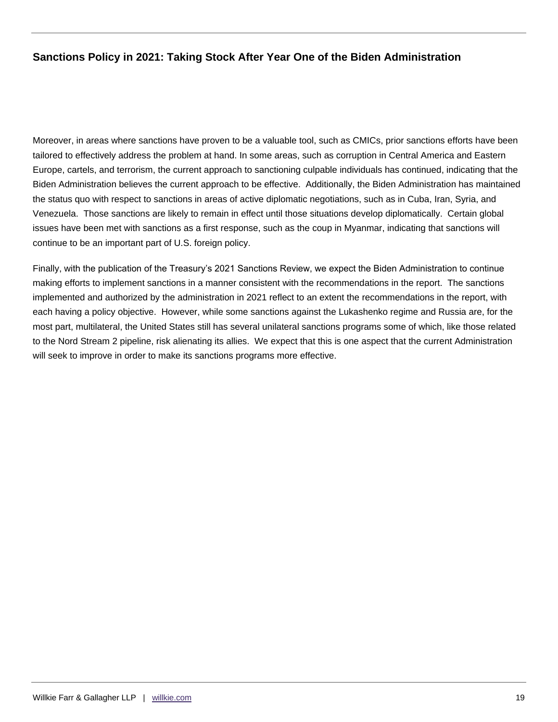Moreover, in areas where sanctions have proven to be a valuable tool, such as CMICs, prior sanctions efforts have been tailored to effectively address the problem at hand. In some areas, such as corruption in Central America and Eastern Europe, cartels, and terrorism, the current approach to sanctioning culpable individuals has continued, indicating that the Biden Administration believes the current approach to be effective. Additionally, the Biden Administration has maintained the status quo with respect to sanctions in areas of active diplomatic negotiations, such as in Cuba, Iran, Syria, and Venezuela. Those sanctions are likely to remain in effect until those situations develop diplomatically. Certain global issues have been met with sanctions as a first response, such as the coup in Myanmar, indicating that sanctions will continue to be an important part of U.S. foreign policy.

Finally, with the publication of the Treasury's 2021 Sanctions Review, we expect the Biden Administration to continue making efforts to implement sanctions in a manner consistent with the recommendations in the report. The sanctions implemented and authorized by the administration in 2021 reflect to an extent the recommendations in the report, with each having a policy objective. However, while some sanctions against the Lukashenko regime and Russia are, for the most part, multilateral, the United States still has several unilateral sanctions programs some of which, like those related to the Nord Stream 2 pipeline, risk alienating its allies. We expect that this is one aspect that the current Administration will seek to improve in order to make its sanctions programs more effective.